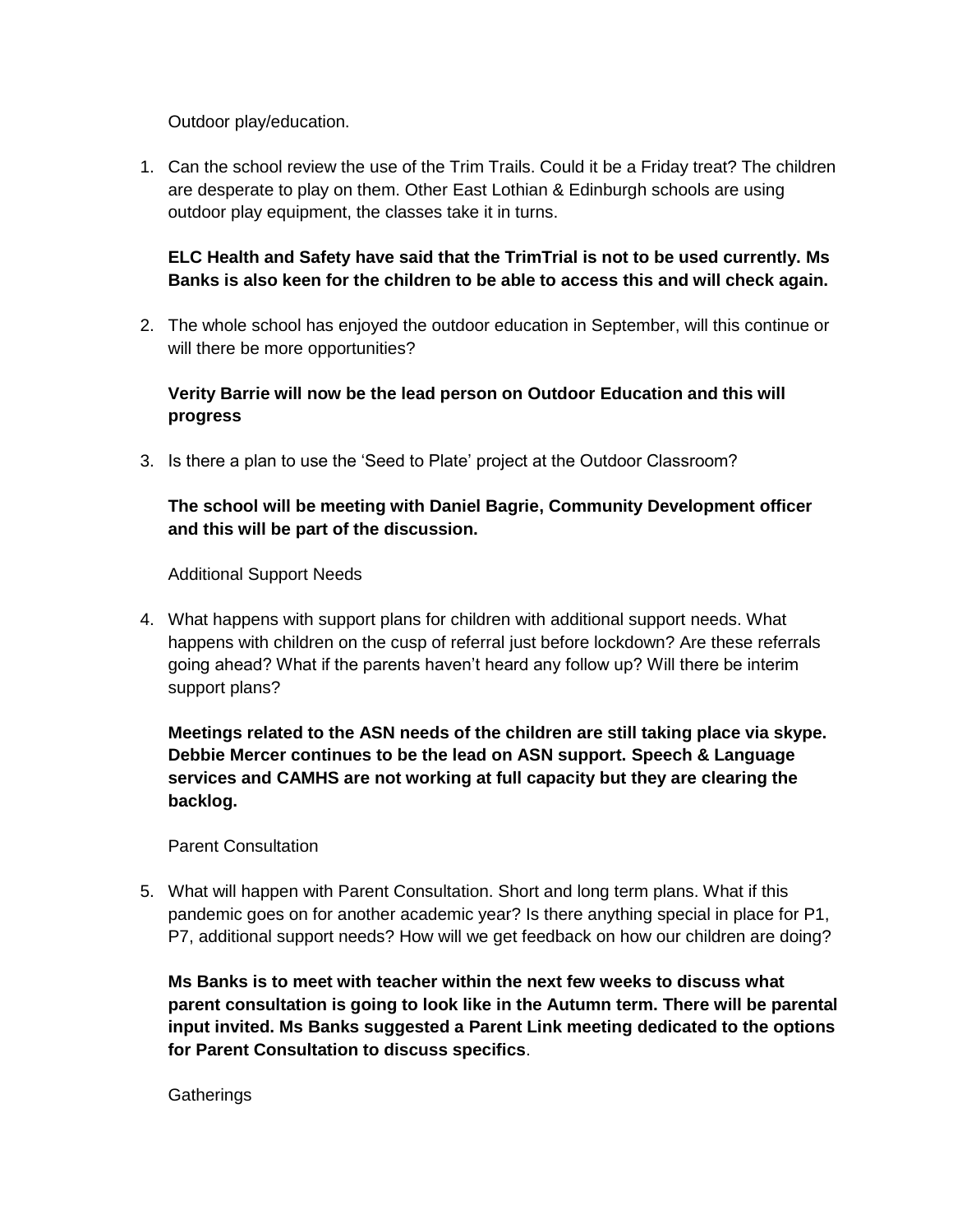Outdoor play/education.

1. Can the school review the use of the Trim Trails. Could it be a Friday treat? The children are desperate to play on them. Other East Lothian & Edinburgh schools are using outdoor play equipment, the classes take it in turns.

# **ELC Health and Safety have said that the TrimTrial is not to be used currently. Ms Banks is also keen for the children to be able to access this and will check again.**

2. The whole school has enjoyed the outdoor education in September, will this continue or will there be more opportunities?

# **Verity Barrie will now be the lead person on Outdoor Education and this will progress**

3. Is there a plan to use the 'Seed to Plate' project at the Outdoor Classroom?

# **The school will be meeting with Daniel Bagrie, Community Development officer and this will be part of the discussion.**

Additional Support Needs

4. What happens with support plans for children with additional support needs. What happens with children on the cusp of referral just before lockdown? Are these referrals going ahead? What if the parents haven't heard any follow up? Will there be interim support plans?

**Meetings related to the ASN needs of the children are still taking place via skype. Debbie Mercer continues to be the lead on ASN support. Speech & Language services and CAMHS are not working at full capacity but they are clearing the backlog.** 

Parent Consultation

5. What will happen with Parent Consultation. Short and long term plans. What if this pandemic goes on for another academic year? Is there anything special in place for P1, P7, additional support needs? How will we get feedback on how our children are doing?

**Ms Banks is to meet with teacher within the next few weeks to discuss what parent consultation is going to look like in the Autumn term. There will be parental input invited. Ms Banks suggested a Parent Link meeting dedicated to the options for Parent Consultation to discuss specifics**.

**Gatherings**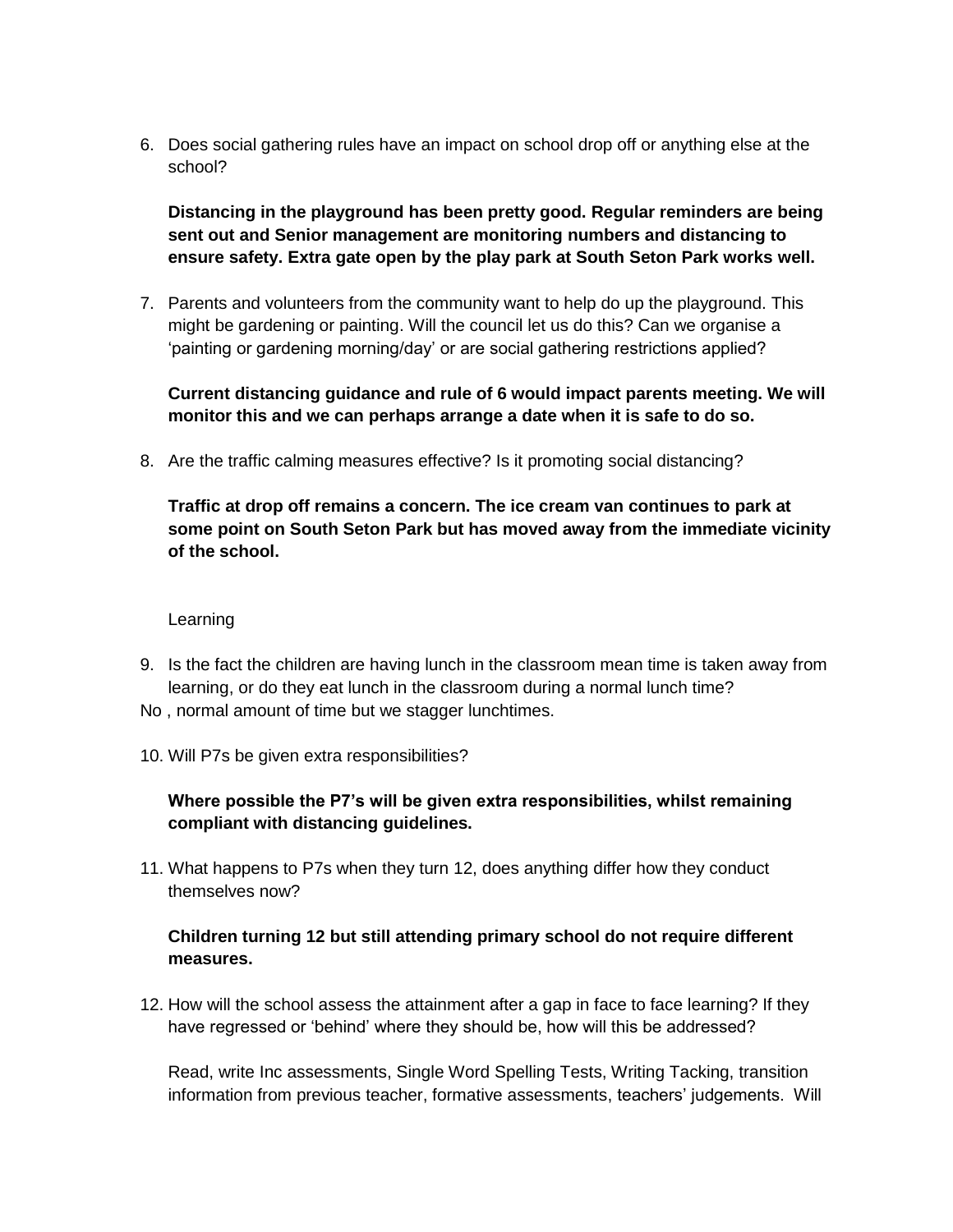6. Does social gathering rules have an impact on school drop off or anything else at the school?

**Distancing in the playground has been pretty good. Regular reminders are being sent out and Senior management are monitoring numbers and distancing to ensure safety. Extra gate open by the play park at South Seton Park works well.** 

7. Parents and volunteers from the community want to help do up the playground. This might be gardening or painting. Will the council let us do this? Can we organise a 'painting or gardening morning/day' or are social gathering restrictions applied?

**Current distancing guidance and rule of 6 would impact parents meeting. We will monitor this and we can perhaps arrange a date when it is safe to do so.** 

8. Are the traffic calming measures effective? Is it promoting social distancing?

**Traffic at drop off remains a concern. The ice cream van continues to park at some point on South Seton Park but has moved away from the immediate vicinity of the school.** 

### **Learning**

- 9. Is the fact the children are having lunch in the classroom mean time is taken away from learning, or do they eat lunch in the classroom during a normal lunch time?
- No , normal amount of time but we stagger lunchtimes.
- 10. Will P7s be given extra responsibilities?

## **Where possible the P7's will be given extra responsibilities, whilst remaining compliant with distancing guidelines.**

11. What happens to P7s when they turn 12, does anything differ how they conduct themselves now?

## **Children turning 12 but still attending primary school do not require different measures.**

12. How will the school assess the attainment after a gap in face to face learning? If they have regressed or 'behind' where they should be, how will this be addressed?

Read, write Inc assessments, Single Word Spelling Tests, Writing Tacking, transition information from previous teacher, formative assessments, teachers' judgements. Will